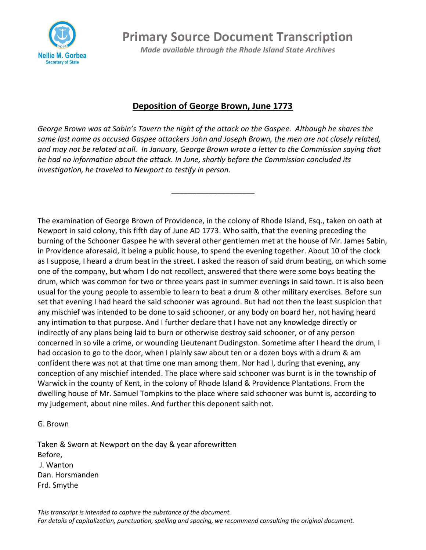

**Primary Source Document Transcription**

*Made available through the Rhode Island State Archives*

## **Deposition of George Brown, June 1773**

*George Brown was at Sabin's Tavern the night of the attack on the Gaspee. Although he shares the same last name as accused Gaspee attackers John and Joseph Brown, the men are not closely related, and may not be related at all. In January, George Brown wrote a letter to the Commission saying that he had no information about the attack. In June, shortly before the Commission concluded its investigation, he traveled to Newport to testify in person.* 

\_\_\_\_\_\_\_\_\_\_\_\_\_\_\_\_\_\_\_\_

The examination of George Brown of Providence, in the colony of Rhode Island, Esq., taken on oath at Newport in said colony, this fifth day of June AD 1773. Who saith, that the evening preceding the burning of the Schooner Gaspee he with several other gentlemen met at the house of Mr. James Sabin, in Providence aforesaid, it being a public house, to spend the evening together. About 10 of the clock as I suppose, I heard a drum beat in the street. I asked the reason of said drum beating, on which some one of the company, but whom I do not recollect, answered that there were some boys beating the drum, which was common for two or three years past in summer evenings in said town. It is also been usual for the young people to assemble to learn to beat a drum & other military exercises. Before sun set that evening I had heard the said schooner was aground. But had not then the least suspicion that any mischief was intended to be done to said schooner, or any body on board her, not having heard any intimation to that purpose. And I further declare that I have not any knowledge directly or indirectly of any plans being laid to burn or otherwise destroy said schooner, or of any person concerned in so vile a crime, or wounding Lieutenant Dudingston. Sometime after I heard the drum, I had occasion to go to the door, when I plainly saw about ten or a dozen boys with a drum & am confident there was not at that time one man among them. Nor had I, during that evening, any conception of any mischief intended. The place where said schooner was burnt is in the township of Warwick in the county of Kent, in the colony of Rhode Island & Providence Plantations. From the dwelling house of Mr. Samuel Tompkins to the place where said schooner was burnt is, according to my judgement, about nine miles. And further this deponent saith not.

## G. Brown

Taken & Sworn at Newport on the day & year aforewritten Before, J. Wanton Dan. Horsmanden Frd. Smythe